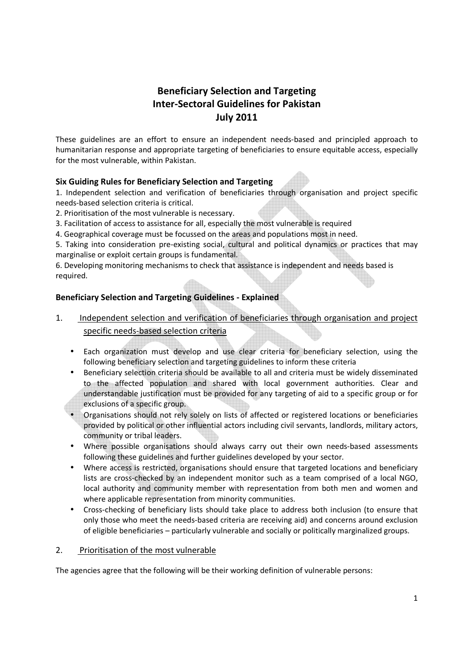# Beneficiary Selection and Targeting Inter-Sectoral Guidelines for Pakistan July 2011

These guidelines are an effort to ensure an independent needs-based and principled approach to humanitarian response and appropriate targeting of beneficiaries to ensure equitable access, especially for the most vulnerable, within Pakistan.

## Six Guiding Rules for Beneficiary Selection and Targeting

1. Independent selection and verification of beneficiaries through organisation and project specific needs-based selection criteria is critical.

- 2. Prioritisation of the most vulnerable is necessary.
- 3. Facilitation of access to assistance for all, especially the most vulnerable is required
- 4. Geographical coverage must be focussed on the areas and populations most in need.

5. Taking into consideration pre-existing social, cultural and political dynamics or practices that may marginalise or exploit certain groups is fundamental.

6. Developing monitoring mechanisms to check that assistance is independent and needs based is required.

## Beneficiary Selection and Targeting Guidelines - Explained

- 1. Independent selection and verification of beneficiaries through organisation and project specific needs-based selection criteria
	- Each organization must develop and use clear criteria for beneficiary selection, using the following beneficiary selection and targeting guidelines to inform these criteria
	- Beneficiary selection criteria should be available to all and criteria must be widely disseminated to the affected population and shared with local government authorities. Clear and understandable justification must be provided for any targeting of aid to a specific group or for exclusions of a specific group.
	- Organisations should not rely solely on lists of affected or registered locations or beneficiaries provided by political or other influential actors including civil servants, landlords, military actors, community or tribal leaders.
	- Where possible organisations should always carry out their own needs-based assessments following these guidelines and further guidelines developed by your sector.
	- Where access is restricted, organisations should ensure that targeted locations and beneficiary lists are cross-checked by an independent monitor such as a team comprised of a local NGO, local authority and community member with representation from both men and women and where applicable representation from minority communities.
	- Cross-checking of beneficiary lists should take place to address both inclusion (to ensure that only those who meet the needs-based criteria are receiving aid) and concerns around exclusion of eligible beneficiaries – particularly vulnerable and socially or politically marginalized groups.

#### 2. Prioritisation of the most vulnerable

The agencies agree that the following will be their working definition of vulnerable persons: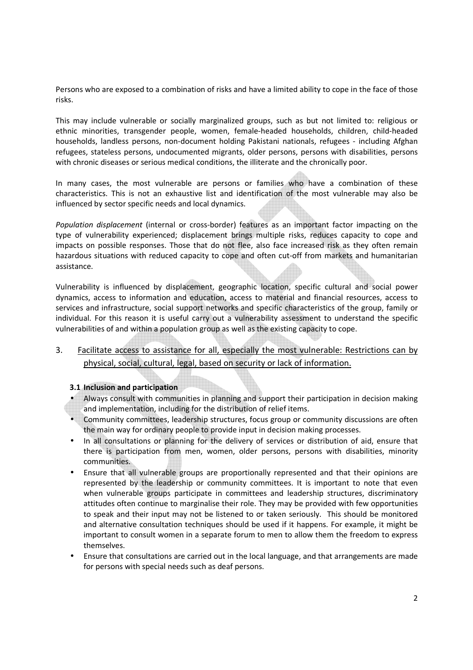Persons who are exposed to a combination of risks and have a limited ability to cope in the face of those risks.

This may include vulnerable or socially marginalized groups, such as but not limited to: religious or ethnic minorities, transgender people, women, female-headed households, children, child-headed households, landless persons, non-document holding Pakistani nationals, refugees - including Afghan refugees, stateless persons, undocumented migrants, older persons, persons with disabilities, persons with chronic diseases or serious medical conditions, the illiterate and the chronically poor.

In many cases, the most vulnerable are persons or families who have a combination of these characteristics. This is not an exhaustive list and identification of the most vulnerable may also be influenced by sector specific needs and local dynamics.

Population displacement (internal or cross-border) features as an important factor impacting on the type of vulnerability experienced; displacement brings multiple risks, reduces capacity to cope and impacts on possible responses. Those that do not flee, also face increased risk as they often remain hazardous situations with reduced capacity to cope and often cut-off from markets and humanitarian assistance.

Vulnerability is influenced by displacement, geographic location, specific cultural and social power dynamics, access to information and education, access to material and financial resources, access to services and infrastructure, social support networks and specific characteristics of the group, family or individual. For this reason it is useful carry out a vulnerability assessment to understand the specific vulnerabilities of and within a population group as well as the existing capacity to cope.

## 3. Facilitate access to assistance for all, especially the most vulnerable: Restrictions can by physical, social, cultural, legal, based on security or lack of information.

#### 3.1 Inclusion and participation

- Always consult with communities in planning and support their participation in decision making and implementation, including for the distribution of relief items.
- Community committees, leadership structures, focus group or community discussions are often the main way for ordinary people to provide input in decision making processes.
- In all consultations or planning for the delivery of services or distribution of aid, ensure that there is participation from men, women, older persons, persons with disabilities, minority communities.
- Ensure that all vulnerable groups are proportionally represented and that their opinions are represented by the leadership or community committees. It is important to note that even when vulnerable groups participate in committees and leadership structures, discriminatory attitudes often continue to marginalise their role. They may be provided with few opportunities to speak and their input may not be listened to or taken seriously. This should be monitored and alternative consultation techniques should be used if it happens. For example, it might be important to consult women in a separate forum to men to allow them the freedom to express themselves.
- Ensure that consultations are carried out in the local language, and that arrangements are made for persons with special needs such as deaf persons.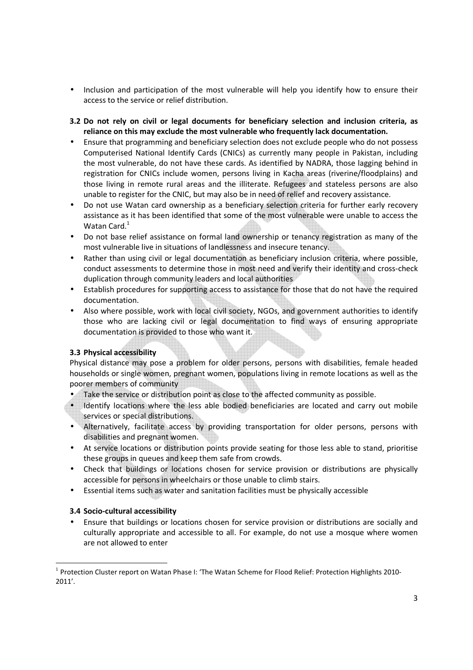- Inclusion and participation of the most vulnerable will help you identify how to ensure their access to the service or relief distribution.
- 3.2 Do not rely on civil or legal documents for beneficiary selection and inclusion criteria, as reliance on this may exclude the most vulnerable who frequently lack documentation.
- Ensure that programming and beneficiary selection does not exclude people who do not possess Computerised National Identify Cards (CNICs) as currently many people in Pakistan, including the most vulnerable, do not have these cards. As identified by NADRA, those lagging behind in registration for CNICs include women, persons living in Kacha areas (riverine/floodplains) and those living in remote rural areas and the illiterate. Refugees and stateless persons are also unable to register for the CNIC, but may also be in need of relief and recovery assistance.
- Do not use Watan card ownership as a beneficiary selection criteria for further early recovery assistance as it has been identified that some of the most vulnerable were unable to access the Watan Card. $1$
- Do not base relief assistance on formal land ownership or tenancy registration as many of the most vulnerable live in situations of landlessness and insecure tenancy.
- Rather than using civil or legal documentation as beneficiary inclusion criteria, where possible, conduct assessments to determine those in most need and verify their identity and cross-check duplication through community leaders and local authorities
- Establish procedures for supporting access to assistance for those that do not have the required documentation.
- Also where possible, work with local civil society, NGOs, and government authorities to identify those who are lacking civil or legal documentation to find ways of ensuring appropriate documentation is provided to those who want it.

## 3.3 Physical accessibility

Physical distance may pose a problem for older persons, persons with disabilities, female headed households or single women, pregnant women, populations living in remote locations as well as the poorer members of community

- Take the service or distribution point as close to the affected community as possible.
- Identify locations where the less able bodied beneficiaries are located and carry out mobile services or special distributions.
- Alternatively, facilitate access by providing transportation for older persons, persons with disabilities and pregnant women.
- At service locations or distribution points provide seating for those less able to stand, prioritise these groups in queues and keep them safe from crowds.
- Check that buildings or locations chosen for service provision or distributions are physically accessible for persons in wheelchairs or those unable to climb stairs.
- Essential items such as water and sanitation facilities must be physically accessible

## 3.4 Socio-cultural accessibility

<u>.</u>

• Ensure that buildings or locations chosen for service provision or distributions are socially and culturally appropriate and accessible to all. For example, do not use a mosque where women are not allowed to enter

<sup>&</sup>lt;sup>1</sup> Protection Cluster report on Watan Phase I: 'The Watan Scheme for Flood Relief: Protection Highlights 2010-2011'.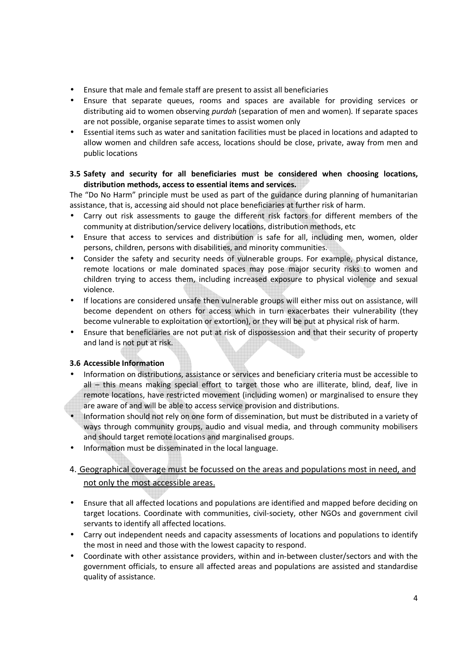- Ensure that male and female staff are present to assist all beneficiaries
- Ensure that separate queues, rooms and spaces are available for providing services or distributing aid to women observing *purdah* (separation of men and women). If separate spaces are not possible, organise separate times to assist women only
- Essential items such as water and sanitation facilities must be placed in locations and adapted to allow women and children safe access, locations should be close, private, away from men and public locations

## 3.5 Safety and security for all beneficiaries must be considered when choosing locations, distribution methods, access to essential items and services.

The "Do No Harm" principle must be used as part of the guidance during planning of humanitarian assistance, that is, accessing aid should not place beneficiaries at further risk of harm.

- Carry out risk assessments to gauge the different risk factors for different members of the community at distribution/service delivery locations, distribution methods, etc
- Ensure that access to services and distribution is safe for all, including men, women, older persons, children, persons with disabilities, and minority communities.
- Consider the safety and security needs of vulnerable groups. For example, physical distance, remote locations or male dominated spaces may pose major security risks to women and children trying to access them, including increased exposure to physical violence and sexual violence.
- If locations are considered unsafe then vulnerable groups will either miss out on assistance, will become dependent on others for access which in turn exacerbates their vulnerability (they become vulnerable to exploitation or extortion), or they will be put at physical risk of harm.
- Ensure that beneficiaries are not put at risk of dispossession and that their security of property and land is not put at risk.

## 3.6 Accessible Information

- Information on distributions, assistance or services and beneficiary criteria must be accessible to all – this means making special effort to target those who are illiterate, blind, deaf, live in remote locations, have restricted movement (including women) or marginalised to ensure they are aware of and will be able to access service provision and distributions.
- Information should not rely on one form of dissemination, but must be distributed in a variety of ways through community groups, audio and visual media, and through community mobilisers and should target remote locations and marginalised groups.
- Information must be disseminated in the local language.

## 4. Geographical coverage must be focussed on the areas and populations most in need, and not only the most accessible areas.

- Ensure that all affected locations and populations are identified and mapped before deciding on target locations. Coordinate with communities, civil-society, other NGOs and government civil servants to identify all affected locations.
- Carry out independent needs and capacity assessments of locations and populations to identify the most in need and those with the lowest capacity to respond.
- Coordinate with other assistance providers, within and in-between cluster/sectors and with the government officials, to ensure all affected areas and populations are assisted and standardise quality of assistance.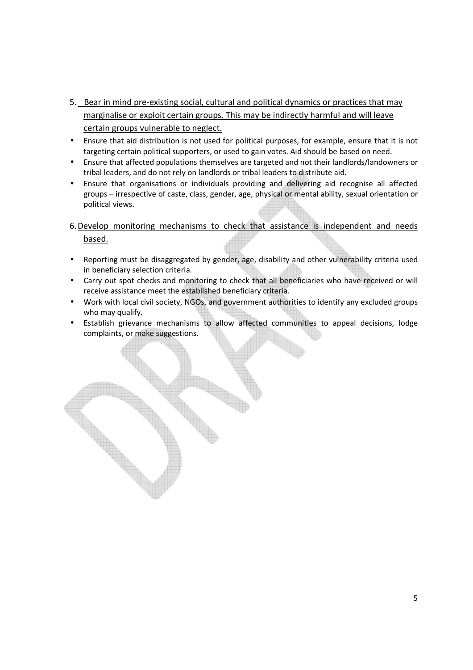- 5. Bear in mind pre-existing social, cultural and political dynamics or practices that may marginalise or exploit certain groups. This may be indirectly harmful and will leave certain groups vulnerable to neglect.
- Ensure that aid distribution is not used for political purposes, for example, ensure that it is not targeting certain political supporters, or used to gain votes. Aid should be based on need.
- Ensure that affected populations themselves are targeted and not their landlords/landowners or tribal leaders, and do not rely on landlords or tribal leaders to distribute aid.
- Ensure that organisations or individuals providing and delivering aid recognise all affected groups – irrespective of caste, class, gender, age, physical or mental ability, sexual orientation or political views.

6.Develop monitoring mechanisms to check that assistance is independent and needs based.

- Reporting must be disaggregated by gender, age, disability and other vulnerability criteria used in beneficiary selection criteria.
- Carry out spot checks and monitoring to check that all beneficiaries who have received or will receive assistance meet the established beneficiary criteria.
- Work with local civil society, NGOs, and government authorities to identify any excluded groups who may qualify.
- Establish grievance mechanisms to allow affected communities to appeal decisions, lodge complaints, or make suggestions.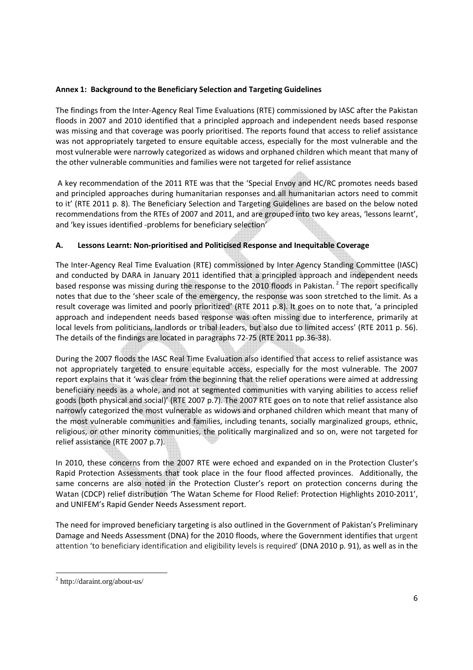#### Annex 1: Background to the Beneficiary Selection and Targeting Guidelines

The findings from the Inter-Agency Real Time Evaluations (RTE) commissioned by IASC after the Pakistan floods in 2007 and 2010 identified that a principled approach and independent needs based response was missing and that coverage was poorly prioritised. The reports found that access to relief assistance was not appropriately targeted to ensure equitable access, especially for the most vulnerable and the most vulnerable were narrowly categorized as widows and orphaned children which meant that many of the other vulnerable communities and families were not targeted for relief assistance

 A key recommendation of the 2011 RTE was that the 'Special Envoy and HC/RC promotes needs based and principled approaches during humanitarian responses and all humanitarian actors need to commit to it' (RTE 2011 p. 8). The Beneficiary Selection and Targeting Guidelines are based on the below noted recommendations from the RTEs of 2007 and 2011, and are grouped into two key areas, 'lessons learnt', and 'key issues identified -problems for beneficiary selection'

## A. Lessons Learnt: Non-prioritised and Politicised Response and Inequitable Coverage

The Inter-Agency Real Time Evaluation (RTE) commissioned by Inter Agency Standing Committee (IASC) and conducted by DARA in January 2011 identified that a principled approach and independent needs based response was missing during the response to the 2010 floods in Pakistan.<sup>2</sup> The report specifically notes that due to the 'sheer scale of the emergency, the response was soon stretched to the limit. As a result coverage was limited and poorly prioritized' (RTE 2011 p.8). It goes on to note that, 'a principled approach and independent needs based response was often missing due to interference, primarily at local levels from politicians, landlords or tribal leaders, but also due to limited access' (RTE 2011 p. 56). The details of the findings are located in paragraphs 72-75 (RTE 2011 pp.36-38).

During the 2007 floods the IASC Real Time Evaluation also identified that access to relief assistance was not appropriately targeted to ensure equitable access, especially for the most vulnerable. The 2007 report explains that it 'was clear from the beginning that the relief operations were aimed at addressing beneficiary needs as a whole, and not at segmented communities with varying abilities to access relief goods (both physical and social)' (RTE 2007 p.7). The 2007 RTE goes on to note that relief assistance also narrowly categorized the most vulnerable as widows and orphaned children which meant that many of the most vulnerable communities and families, including tenants, socially marginalized groups, ethnic, religious, or other minority communities, the politically marginalized and so on, were not targeted for relief assistance (RTE 2007 p.7).

In 2010, these concerns from the 2007 RTE were echoed and expanded on in the Protection Cluster's Rapid Protection Assessments that took place in the four flood affected provinces. Additionally, the same concerns are also noted in the Protection Cluster's report on protection concerns during the Watan (CDCP) relief distribution 'The Watan Scheme for Flood Relief: Protection Highlights 2010-2011', and UNIFEM's Rapid Gender Needs Assessment report.

The need for improved beneficiary targeting is also outlined in the Government of Pakistan's Preliminary Damage and Needs Assessment (DNA) for the 2010 floods, where the Government identifies that urgent attention 'to beneficiary identification and eligibility levels is required' (DNA 2010 p. 91), as well as in the

.<br>-

<sup>2</sup> http://daraint.org/about-us/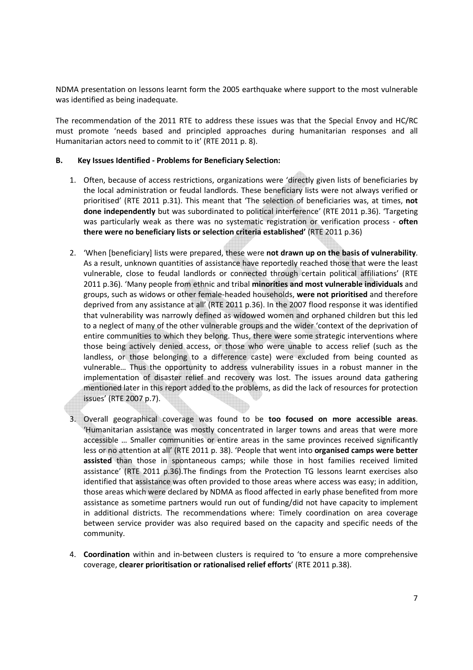NDMA presentation on lessons learnt form the 2005 earthquake where support to the most vulnerable was identified as being inadequate.

The recommendation of the 2011 RTE to address these issues was that the Special Envoy and HC/RC must promote 'needs based and principled approaches during humanitarian responses and all Humanitarian actors need to commit to it' (RTE 2011 p. 8).

#### B. Key Issues Identified - Problems for Beneficiary Selection:

- 1. Often, because of access restrictions, organizations were 'directly given lists of beneficiaries by the local administration or feudal landlords. These beneficiary lists were not always verified or prioritised' (RTE 2011 p.31). This meant that 'The selection of beneficiaries was, at times, not done independently but was subordinated to political interference' (RTE 2011 p.36). 'Targeting was particularly weak as there was no systematic registration or verification process - often there were no beneficiary lists or selection criteria established' (RTE 2011 p.36)
- 2. 'When [beneficiary] lists were prepared, these were not drawn up on the basis of vulnerability. As a result, unknown quantities of assistance have reportedly reached those that were the least vulnerable, close to feudal landlords or connected through certain political affiliations' (RTE 2011 p.36). 'Many people from ethnic and tribal minorities and most vulnerable individuals and groups, such as widows or other female-headed households, were not prioritised and therefore deprived from any assistance at all' (RTE 2011 p.36). In the 2007 flood response it was identified that vulnerability was narrowly defined as widowed women and orphaned children but this led to a neglect of many of the other vulnerable groups and the wider 'context of the deprivation of entire communities to which they belong. Thus, there were some strategic interventions where those being actively denied access, or those who were unable to access relief (such as the landless, or those belonging to a difference caste) were excluded from being counted as vulnerable… Thus the opportunity to address vulnerability issues in a robust manner in the implementation of disaster relief and recovery was lost. The issues around data gathering mentioned later in this report added to the problems, as did the lack of resources for protection issues' (RTE 2007 p.7).
- 3. Overall geographical coverage was found to be too focused on more accessible areas. 'Humanitarian assistance was mostly concentrated in larger towns and areas that were more accessible … Smaller communities or entire areas in the same provinces received significantly less or no attention at all' (RTE 2011 p. 38). 'People that went into organised camps were better assisted than those in spontaneous camps; while those in host families received limited assistance' (RTE 2011 p.36).The findings from the Protection TG lessons learnt exercises also identified that assistance was often provided to those areas where access was easy; in addition, those areas which were declared by NDMA as flood affected in early phase benefited from more assistance as sometime partners would run out of funding/did not have capacity to implement in additional districts. The recommendations where: Timely coordination on area coverage between service provider was also required based on the capacity and specific needs of the community.
- 4. Coordination within and in-between clusters is required to 'to ensure a more comprehensive coverage, clearer prioritisation or rationalised relief efforts' (RTE 2011 p.38).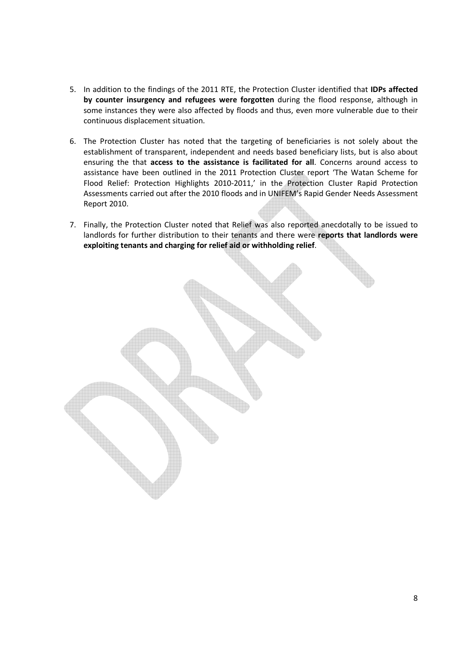- 5. In addition to the findings of the 2011 RTE, the Protection Cluster identified that IDPs affected by counter insurgency and refugees were forgotten during the flood response, although in some instances they were also affected by floods and thus, even more vulnerable due to their continuous displacement situation.
- 6. The Protection Cluster has noted that the targeting of beneficiaries is not solely about the establishment of transparent, independent and needs based beneficiary lists, but is also about ensuring the that access to the assistance is facilitated for all. Concerns around access to assistance have been outlined in the 2011 Protection Cluster report 'The Watan Scheme for Flood Relief: Protection Highlights 2010-2011,' in the Protection Cluster Rapid Protection Assessments carried out after the 2010 floods and in UNIFEM's Rapid Gender Needs Assessment Report 2010.
- 7. Finally, the Protection Cluster noted that Relief was also reported anecdotally to be issued to landlords for further distribution to their tenants and there were reports that landlords were exploiting tenants and charging for relief aid or withholding relief.